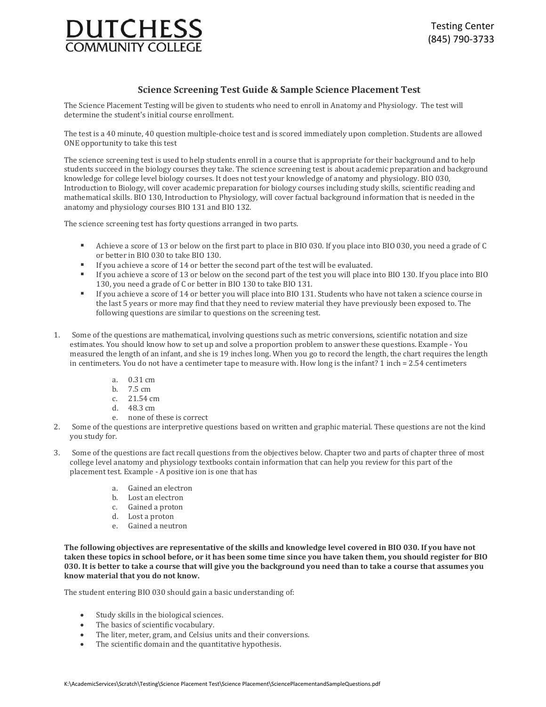

### **Science Screening Test Guide & Sample Science Placement Test**

The Science Placement Testing will be given to students who need to enroll in Anatomy and Physiology. The test will determine the student's initial course enrollment.

The test is a 40 minute, 40 question multiple-choice test and is scored immediately upon completion. Students are allowed ONE opportunity to take this test

The science screening test is used to help students enroll in a course that is appropriate for their background and to help students succeed in the biology courses they take. The science screening test is about academic preparation and background knowledge for college level biology courses. It does not test your knowledge of anatomy and physiology. BIO 030, Introduction to Biology, will cover academic preparation for biology courses including study skills, scientific reading and mathematical skills. BIO 130, Introduction to Physiology, will cover factual background information that is needed in the anatomy and physiology courses BIO 131 and BIO 132.

The science screening test has forty questions arranged in two parts.

- Achieve a score of 13 or below on the first part to place in BIO 030. If you place into BIO 030, you need a grade of C or better in BIO 030 to take BIO 130.
- If you achieve a score of 14 or better the second part of the test will be evaluated.
- If you achieve a score of 13 or below on the second part of the test you will place into BIO 130. If you place into BIO 130, you need a grade of C or better in BIO 130 to take BIO 131.
- If you achieve a score of 14 or better you will place into BIO 131. Students who have not taken a science course in the last 5 years or more may find that they need to review material they have previously been exposed to. The following questions are similar to questions on the screening test.
- 1. Some of the questions are mathematical, involving questions such as metric conversions, scientific notation and size estimates. You should know how to set up and solve a proportion problem to answer these questions. Example - You measured the length of an infant, and she is 19 inches long. When you go to record the length, the chart requires the length in centimeters. You do not have a centimeter tape to measure with. How long is the infant? 1 inch = 2.54 centimeters
	- a. 0.31 cm
	- b. 7.5 cm
	- c. 21.54 cm
	- d. 48.3 cm
	- e. none of these is correct
- 2. Some of the questions are interpretive questions based on written and graphic material. These questions are not the kind you study for.
- 3. Some of the questions are fact recall questions from the objectives below. Chapter two and parts of chapter three of most college level anatomy and physiology textbooks contain information that can help you review for this part of the placement test. Example - A positive ion is one that has
	- a. Gained an electron
	- b. Lost an electron
	- c. Gained a proton
	- d. Lost a proton
	- e. Gained a neutron

**The following objectives are representative of the skills and knowledge level covered in BIO 030. If you have not taken these topics in school before, or it has been some time since you have taken them, you should register for BIO 030. It is better to take a course that will give you the background you need than to take a course that assumes you know material that you do not know.**

The student entering BIO 030 should gain a basic understanding of:

- Study skills in the biological sciences.
- The basics of scientific vocabulary.
- The liter, meter, gram, and Celsius units and their conversions.
- The scientific domain and the quantitative hypothesis.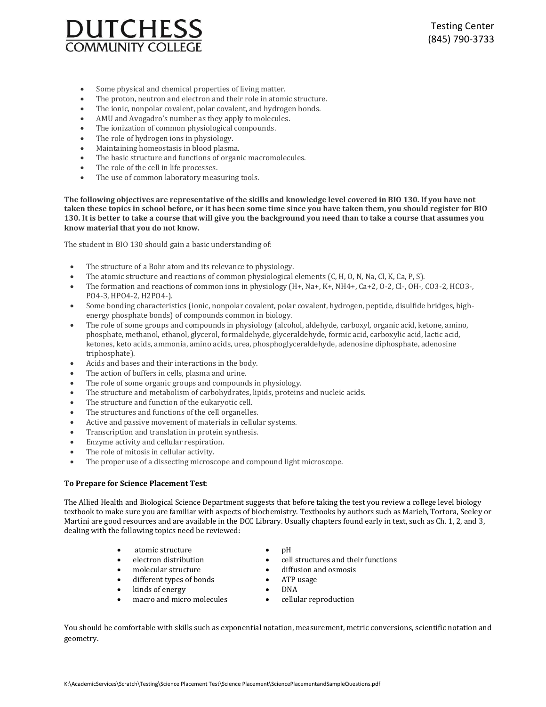

- Some physical and chemical properties of living matter.
- The proton, neutron and electron and their role in atomic structure.
- The ionic, nonpolar covalent, polar covalent, and hydrogen bonds.
- AMU and Avogadro's number as they apply to molecules.
- The ionization of common physiological compounds.
- The role of hydrogen ions in physiology.
- Maintaining homeostasis in blood plasma.
- The basic structure and functions of organic macromolecules.
- The role of the cell in life processes.
- The use of common laboratory measuring tools.

**The following objectives are representative of the skills and knowledge level covered in BIO 130. If you have not taken these topics in school before, or it has been some time since you have taken them, you should register for BIO 130. It is better to take a course that will give you the background you need than to take a course that assumes you know material that you do not know.**

The student in BIO 130 should gain a basic understanding of:

- The structure of a Bohr atom and its relevance to physiology.
- The atomic structure and reactions of common physiological elements (C, H, O, N, Na, Cl, K, Ca, P, S).
- The formation and reactions of common ions in physiology (H+, Na+, K+, NH4+, Ca+2, O-2, Cl-, OH-, CO3-2, HCO3-, PO4-3, HPO4-2, H2PO4-).
- Some bonding characteristics (ionic, nonpolar covalent, polar covalent, hydrogen, peptide, disulfide bridges, highenergy phosphate bonds) of compounds common in biology.
- The role of some groups and compounds in physiology (alcohol, aldehyde, carboxyl, organic acid, ketone, amino, phosphate, methanol, ethanol, glycerol, formaldehyde, glyceraldehyde, formic acid, carboxylic acid, lactic acid, ketones, keto acids, ammonia, amino acids, urea, phosphoglyceraldehyde, adenosine diphosphate, adenosine triphosphate).
- Acids and bases and their interactions in the body.
- The action of buffers in cells, plasma and urine.
- The role of some organic groups and compounds in physiology.
- The structure and metabolism of carbohydrates, lipids, proteins and nucleic acids.
- The structure and function of the eukaryotic cell.
- The structures and functions of the cell organelles.
- Active and passive movement of materials in cellular systems.
- Transcription and translation in protein synthesis.
- Enzyme activity and cellular respiration.
- The role of mitosis in cellular activity.
- The proper use of a dissecting microscope and compound light microscope.

#### **To Prepare for Science Placement Test**:

The Allied Health and Biological Science Department suggests that before taking the test you review a college level biology textbook to make sure you are familiar with aspects of biochemistry. Textbooks by authors such as Marieb, Tortora, Seeley or Martini are good resources and are available in the DCC Library. Usually chapters found early in text, such as Ch. 1, 2, and 3, dealing with the following topics need be reviewed:

- atomic structure
- electron distribution
- molecular structure
- different types of bonds
- kinds of energy
- macro and micro molecules
- $\bullet$  pH
- cell structures and their functions
- diffusion and osmosis
- ATP usage
- DNA
	- cellular reproduction

You should be comfortable with skills such as exponential notation, measurement, metric conversions, scientific notation and geometry.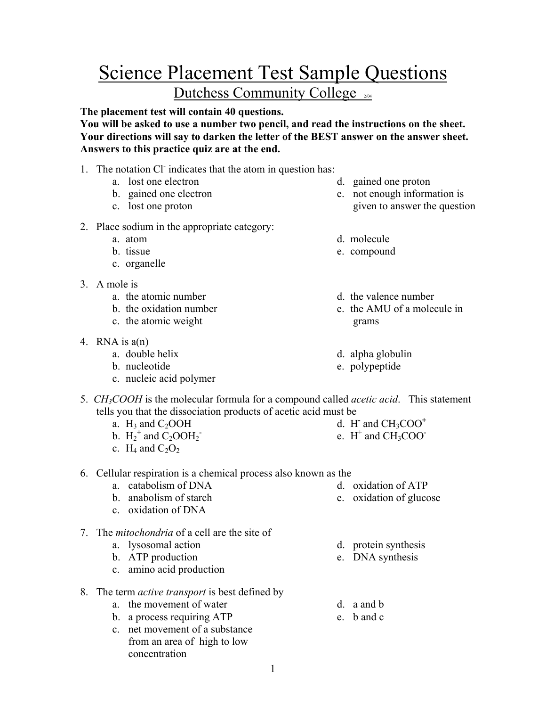# Science Placement Test Sample Questions Dutchess Community College

**The placement test will contain 40 questions.** 

**You will be asked to use a number two pencil, and read the instructions on the sheet. Your directions will say to darken the letter of the BEST answer on the answer sheet. Answers to this practice quiz are at the end.** 

- 1. The notation Cl indicates that the atom in question has:
	- a. lost one electron
	- b. gained one electron
	- c. lost one proton
- 2. Place sodium in the appropriate category:
	- a. atom
	- b. tissue
	- c. organelle
- 3. A mole is
	- a. the atomic number
	- b. the oxidation number
	- c. the atomic weight
- 4. RNA is  $a(n)$ 
	- a. double helix
	- b. nucleotide
	- c. nucleic acid polymer
- d. gained one proton
- e. not enough information is given to answer the question
- d. molecule
- e. compound
- d. the valence number
- e. the AMU of a molecule in grams
- d. alpha globulin
- e. polypeptide
- 5. *CH3COOH* is the molecular formula for a compound called *acetic acid*. This statement tells you that the dissociation products of acetic acid must be d. H**-** and CH3COO**<sup>+</sup>**
	- a.  $H_3$  and  $C_2OOH$
	- b.  $H_2^+$  and  $C_2OOH_2^-$
	- c.  $H_4$  and  $C_2O_2$

## 6. Cellular respiration is a chemical process also known as the

- a. catabolism of DNA
- b. anabolism of starch
- c. oxidation of DNA
- 7. The *mitochondria* of a cell are the site of
	- a. lysosomal action
	- b. ATP production
	- c. amino acid production
- 8. The term *active transport* is best defined by
	- a. the movement of water
	- b. a process requiring ATP
	- c. net movement of a substance from an area of high to low concentration

d. oxidation of ATP e. oxidation of glucose

e.  $H^+$  and  $CH_3COO^-$ 

- 
- e. DNA synthesis
- d. a and b
- e. b and c
- 
- 
- d. protein synthesis
- 
- 
-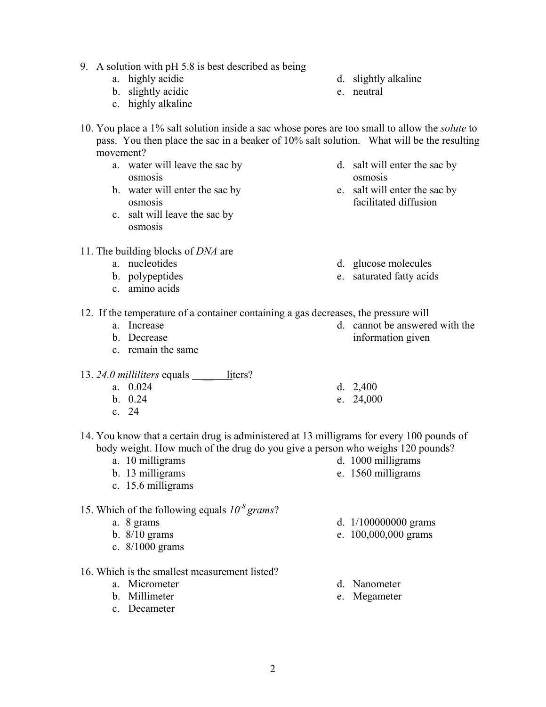- 9. A solution with pH 5.8 is best described as being
	- a. highly acidic
	- b. slightly acidic
	- c. highly alkaline
- 10. You place a 1% salt solution inside a sac whose pores are too small to allow the *solute* to pass. You then place the sac in a beaker of 10% salt solution. What will be the resulting movement?
	- a. water will leave the sac by osmosis
	- b. water will enter the sac by osmosis
	- c. salt will leave the sac by osmosis
- 11. The building blocks of *DNA* are
	- a. nucleotides
	- b. polypeptides
	- c. amino acids
- d. slightly alkaline
- e. neutral
- d. salt will enter the sac by osmosis
- e. salt will enter the sac by facilitated diffusion
- d. glucose molecules
- e. saturated fatty acids

information given

d. 2,400 e. 24,000

d. cannot be answered with the

12. If the temperature of a container containing a gas decreases, the pressure will

- a. Increase
- b. Decrease c. remain the same
- 13. 24.0 milliliters equals <u>liters</u>?
	- a. 0.024
	- b. 0.24
	- c. 24
- 14. You know that a certain drug is administered at 13 milligrams for every 100 pounds of body weight. How much of the drug do you give a person who weighs 120 pounds?
	- a. 10 milligrams
	- b. 13 milligrams
	- c. 15.6 milligrams
- 15. Which of the following equals  $10^{-8}$  grams?
	- a. 8 grams
	- b. 8/10 grams
	- c. 8/1000 grams
- 16. Which is the smallest measurement listed?
	- a. Micrometer
	- b. Millimeter
	- c. Decameter

d. 1000 milligrams e. 1560 milligrams

- d. 1/100000000 grams
- e. 100,000,000 grams
- d. Nanometer
- e. Megameter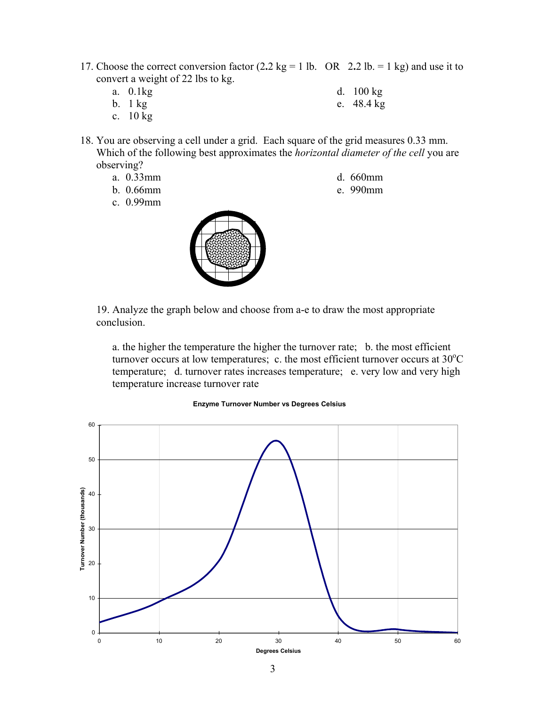- 17. Choose the correct conversion factor  $(2.2 \text{ kg} = 1 \text{ lb.} \text{ OR } 2.2 \text{ lb.} = 1 \text{ kg})$  and use it to convert a weight of 22 lbs to kg.
	- a. 0.1kg
	- b.  $1 \text{ kg}$
- d. 100 kg
- e. 48.4 kg
- c. 10 kg
- 18. You are observing a cell under a grid. Each square of the grid measures 0.33 mm. Which of the following best approximates the *horizontal diameter of the cell* you are observing?
	- a. 0.33mm
	- b. 0.66mm
	- c. 0.99mm



- d. 660mm
- e. 990mm

19. Analyze the graph below and choose from a-e to draw the most appropriate conclusion.

a. the higher the temperature the higher the turnover rate; b. the most efficient turnover occurs at low temperatures; c. the most efficient turnover occurs at  $30^{\circ}$ C temperature; d. turnover rates increases temperature; e. very low and very high temperature increase turnover rate

#### **Enzyme Turnover Number vs Degrees Celsius**

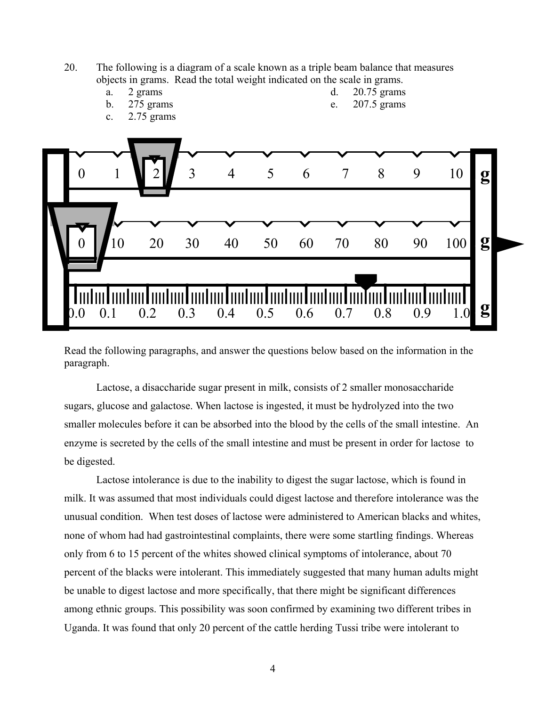

Read the following paragraphs, and answer the questions below based on the information in the paragraph.

Lactose, a disaccharide sugar present in milk, consists of 2 smaller monosaccharide sugars, glucose and galactose. When lactose is ingested, it must be hydrolyzed into the two smaller molecules before it can be absorbed into the blood by the cells of the small intestine. An enzyme is secreted by the cells of the small intestine and must be present in order for lactose to be digested.

Lactose intolerance is due to the inability to digest the sugar lactose, which is found in milk. It was assumed that most individuals could digest lactose and therefore intolerance was the unusual condition. When test doses of lactose were administered to American blacks and whites, none of whom had had gastrointestinal complaints, there were some startling findings. Whereas only from 6 to 15 percent of the whites showed clinical symptoms of intolerance, about 70 percent of the blacks were intolerant. This immediately suggested that many human adults might be unable to digest lactose and more specifically, that there might be significant differences among ethnic groups. This possibility was soon confirmed by examining two different tribes in Uganda. It was found that only 20 percent of the cattle herding Tussi tribe were intolerant to

4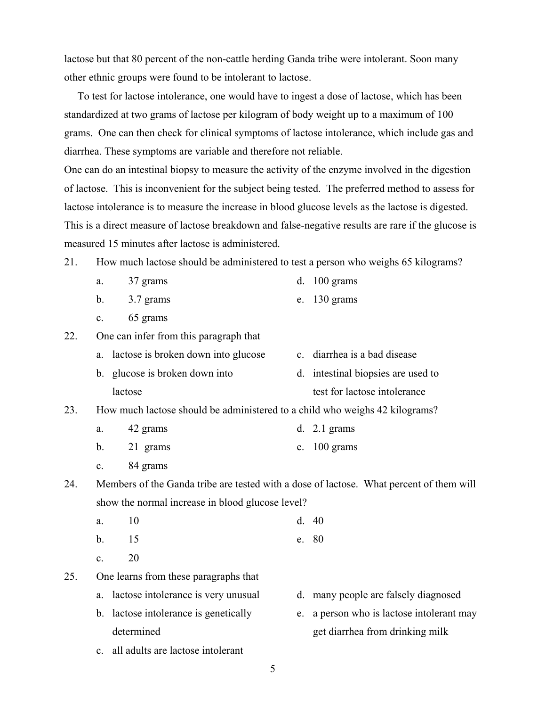lactose but that 80 percent of the non-cattle herding Ganda tribe were intolerant. Soon many other ethnic groups were found to be intolerant to lactose.

 To test for lactose intolerance, one would have to ingest a dose of lactose, which has been standardized at two grams of lactose per kilogram of body weight up to a maximum of 100 grams. One can then check for clinical symptoms of lactose intolerance, which include gas and diarrhea. These symptoms are variable and therefore not reliable.

One can do an intestinal biopsy to measure the activity of the enzyme involved in the digestion of lactose. This is inconvenient for the subject being tested. The preferred method to assess for lactose intolerance is to measure the increase in blood glucose levels as the lactose is digested. This is a direct measure of lactose breakdown and false-negative results are rare if the glucose is measured 15 minutes after lactose is administered.

- 21. How much lactose should be administered to test a person who weighs 65 kilograms?
	- a. 37 grams d. 100 grams
	- b. 3.7 grams e. 130 grams
	- c. 65 grams

22. One can infer from this paragraph that

| a. lactose is broken down into glucose | c. diarrhea is a bad disease       |
|----------------------------------------|------------------------------------|
| b. glucose is broken down into         | d. intestinal biopsies are used to |
| lactose                                | test for lactose intolerance       |

- 23. How much lactose should be administered to a child who weighs 42 kilograms?
	- a. 42 grams d. 2.1 grams
	- b. 21 grams e. 100 grams
	- c. 84 grams

24. Members of the Ganda tribe are tested with a dose of lactose. What percent of them will show the normal increase in blood glucose level?

- a. 10 d. 40
- b. 15 e. 80
- c.  $20$

25. One learns from these paragraphs that

- a. lactose intolerance is very unusual
- b. lactose intolerance is genetically determined
- d. many people are falsely diagnosed
- e. a person who is lactose intolerant may get diarrhea from drinking milk
- c. all adults are lactose intolerant
- 5